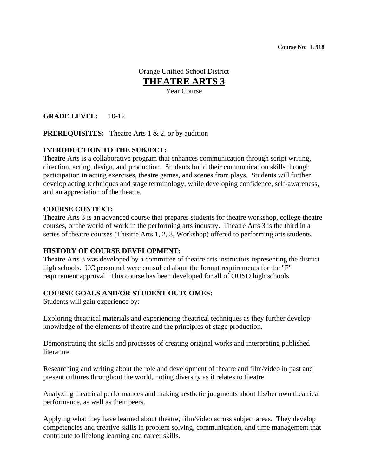**Course No: L 918** 

Orange Unified School District **THEATRE ARTS 3** Year Course

**GRADE LEVEL:** 10-12

**PREREQUISITES:** Theatre Arts 1 & 2, or by audition

# **INTRODUCTION TO THE SUBJECT:**

Theatre Arts is a collaborative program that enhances communication through script writing, direction, acting, design, and production. Students build their communication skills through participation in acting exercises, theatre games, and scenes from plays. Students will further develop acting techniques and stage terminology, while developing confidence, self-awareness, and an appreciation of the theatre.

### **COURSE CONTEXT:**

Theatre Arts 3 is an advanced course that prepares students for theatre workshop, college theatre courses, or the world of work in the performing arts industry. Theatre Arts 3 is the third in a series of theatre courses (Theatre Arts 1, 2, 3, Workshop) offered to performing arts students.

#### **HISTORY OF COURSE DEVELOPMENT:**

Theatre Arts 3 was developed by a committee of theatre arts instructors representing the district high schools. UC personnel were consulted about the format requirements for the "F" requirement approval. This course has been developed for all of OUSD high schools.

# **COURSE GOALS AND/OR STUDENT OUTCOMES:**

Students will gain experience by:

Exploring theatrical materials and experiencing theatrical techniques as they further develop knowledge of the elements of theatre and the principles of stage production.

Demonstrating the skills and processes of creating original works and interpreting published literature.

Researching and writing about the role and development of theatre and film/video in past and present cultures throughout the world, noting diversity as it relates to theatre.

Analyzing theatrical performances and making aesthetic judgments about his/her own theatrical performance, as well as their peers.

Applying what they have learned about theatre, film/video across subject areas. They develop competencies and creative skills in problem solving, communication, and time management that contribute to lifelong learning and career skills.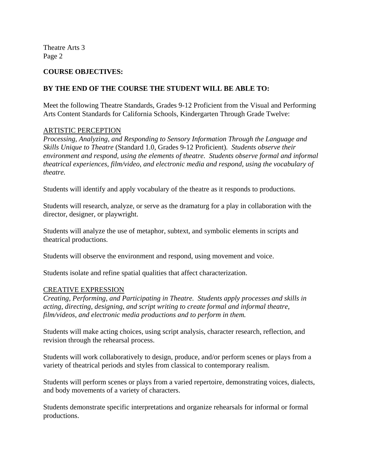#### **COURSE OBJECTIVES:**

### **BY THE END OF THE COURSE THE STUDENT WILL BE ABLE TO:**

Meet the following Theatre Standards, Grades 9-12 Proficient from the Visual and Performing Arts Content Standards for California Schools, Kindergarten Through Grade Twelve:

#### ARTISTIC PERCEPTION

*Processing, Analyzing, and Responding to Sensory Information Through the Language and Skills Unique to Theatre* (Standard 1.0, Grades 9-12 Proficient)*. Students observe their environment and respond, using the elements of theatre. Students observe formal and informal theatrical experiences, film/video, and electronic media and respond, using the vocabulary of theatre.* 

Students will identify and apply vocabulary of the theatre as it responds to productions.

Students will research, analyze, or serve as the dramaturg for a play in collaboration with the director, designer, or playwright.

Students will analyze the use of metaphor, subtext, and symbolic elements in scripts and theatrical productions.

Students will observe the environment and respond, using movement and voice.

Students isolate and refine spatial qualities that affect characterization.

#### CREATIVE EXPRESSION

*Creating, Performing, and Participating in Theatre. Students apply processes and skills in acting, directing, designing, and script writing to create formal and informal theatre, film/videos, and electronic media productions and to perform in them.* 

Students will make acting choices, using script analysis, character research, reflection, and revision through the rehearsal process.

Students will work collaboratively to design, produce, and/or perform scenes or plays from a variety of theatrical periods and styles from classical to contemporary realism.

Students will perform scenes or plays from a varied repertoire, demonstrating voices, dialects, and body movements of a variety of characters.

Students demonstrate specific interpretations and organize rehearsals for informal or formal productions.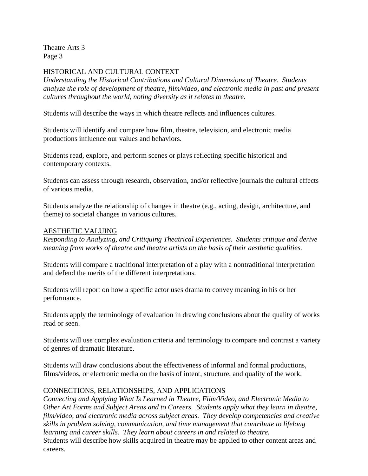### HISTORICAL AND CULTURAL CONTEXT

*Understanding the Historical Contributions and Cultural Dimensions of Theatre. Students analyze the role of development of theatre, film/video, and electronic media in past and present cultures throughout the world, noting diversity as it relates to theatre.* 

Students will describe the ways in which theatre reflects and influences cultures.

Students will identify and compare how film, theatre, television, and electronic media productions influence our values and behaviors.

Students read, explore, and perform scenes or plays reflecting specific historical and contemporary contexts.

Students can assess through research, observation, and/or reflective journals the cultural effects of various media.

Students analyze the relationship of changes in theatre (e.g., acting, design, architecture, and theme) to societal changes in various cultures.

#### AESTHETIC VALUING

*Responding to Analyzing, and Critiquing Theatrical Experiences. Students critique and derive meaning from works of theatre and theatre artists on the basis of their aesthetic qualities.* 

Students will compare a traditional interpretation of a play with a nontraditional interpretation and defend the merits of the different interpretations.

Students will report on how a specific actor uses drama to convey meaning in his or her performance.

Students apply the terminology of evaluation in drawing conclusions about the quality of works read or seen.

Students will use complex evaluation criteria and terminology to compare and contrast a variety of genres of dramatic literature.

Students will draw conclusions about the effectiveness of informal and formal productions, films/videos, or electronic media on the basis of intent, structure, and quality of the work.

#### CONNECTIONS, RELATIONSHIPS, AND APPLICATIONS

*Connecting and Applying What Is Learned in Theatre, Film/Video, and Electronic Media to Other Art Forms and Subject Areas and to Careers. Students apply what they learn in theatre, film/video, and electronic media across subject areas. They develop competencies and creative skills in problem solving, communication, and time management that contribute to lifelong learning and career skills. They learn about careers in and related to theatre.* 

Students will describe how skills acquired in theatre may be applied to other content areas and careers.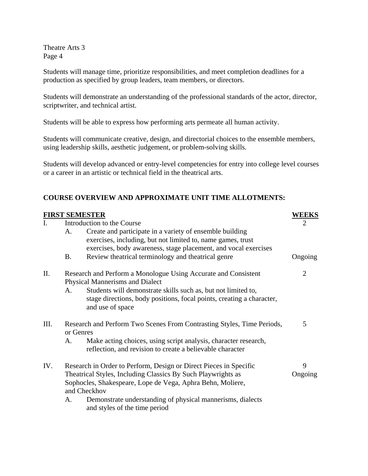Students will manage time, prioritize responsibilities, and meet completion deadlines for a production as specified by group leaders, team members, or directors.

Students will demonstrate an understanding of the professional standards of the actor, director, scriptwriter, and technical artist.

Students will be able to express how performing arts permeate all human activity.

Students will communicate creative, design, and directorial choices to the ensemble members, using leadership skills, aesthetic judgement, or problem-solving skills.

Students will develop advanced or entry-level competencies for entry into college level courses or a career in an artistic or technical field in the theatrical arts.

# **COURSE OVERVIEW AND APPROXIMATE UNIT TIME ALLOTMENTS:**

|      | <b>FIRST SEMESTER</b>                                                                                                                                                                                                                                                                                                | WEEKS          |
|------|----------------------------------------------------------------------------------------------------------------------------------------------------------------------------------------------------------------------------------------------------------------------------------------------------------------------|----------------|
| I.   | Introduction to the Course<br>Create and participate in a variety of ensemble building<br>A.                                                                                                                                                                                                                         | $\overline{2}$ |
|      | exercises, including, but not limited to, name games, trust<br>exercises, body awareness, stage placement, and vocal exercises<br><b>B.</b><br>Review theatrical terminology and theatrical genre                                                                                                                    | Ongoing        |
| П.   | Research and Perform a Monologue Using Accurate and Consistent<br><b>Physical Mannerisms and Dialect</b><br>Students will demonstrate skills such as, but not limited to,<br>A.<br>stage directions, body positions, focal points, creating a character,<br>and use of space                                         | $\overline{2}$ |
| III. | Research and Perform Two Scenes From Contrasting Styles, Time Periods,<br>or Genres<br>Make acting choices, using script analysis, character research,<br>A.<br>reflection, and revision to create a believable character                                                                                            | 5              |
| IV.  | Research in Order to Perform, Design or Direct Pieces in Specific<br>Theatrical Styles, Including Classics By Such Playwrights as<br>Sophocles, Shakespeare, Lope de Vega, Aphra Behn, Moliere,<br>and Checkhov<br>Demonstrate understanding of physical mannerisms, dialects<br>A.<br>and styles of the time period | 9<br>Ongoing   |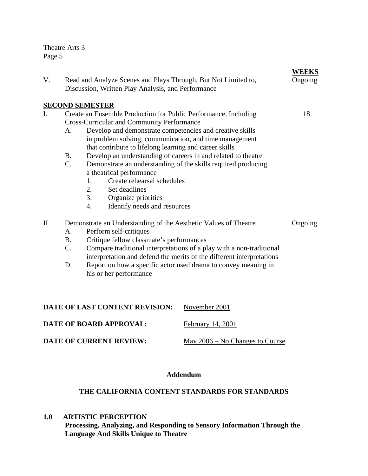| V.             | Read and Analyze Scenes and Plays Through, But Not Limited to,<br>Discussion, Written Play Analysis, and Performance                                                                                                                                                                                                                                                                                                                                                                                                                                                                                                               |                                                                                                                                                                                                                                                                                                                                | <b>WEEKS</b><br>Ongoing |
|----------------|------------------------------------------------------------------------------------------------------------------------------------------------------------------------------------------------------------------------------------------------------------------------------------------------------------------------------------------------------------------------------------------------------------------------------------------------------------------------------------------------------------------------------------------------------------------------------------------------------------------------------------|--------------------------------------------------------------------------------------------------------------------------------------------------------------------------------------------------------------------------------------------------------------------------------------------------------------------------------|-------------------------|
|                | <b>SECOND SEMESTER</b>                                                                                                                                                                                                                                                                                                                                                                                                                                                                                                                                                                                                             |                                                                                                                                                                                                                                                                                                                                |                         |
| $\mathbf{I}$ . | Create an Ensemble Production for Public Performance, Including<br><b>Cross-Curricular and Community Performance</b><br>Develop and demonstrate competencies and creative skills<br>A.<br>in problem solving, communication, and time management<br>that contribute to lifelong learning and career skills<br>Develop an understanding of careers in and related to theatre<br><b>B.</b><br>$C_{\cdot}$<br>Demonstrate an understanding of the skills required producing<br>a theatrical performance<br>Create rehearsal schedules<br>1.<br>2.<br>Set deadlines<br>3.<br>Organize priorities<br>Identify needs and resources<br>4. |                                                                                                                                                                                                                                                                                                                                | 18                      |
| II.            | Perform self-critiques<br>A.<br><b>B.</b><br>C.<br>D.<br>his or her performance                                                                                                                                                                                                                                                                                                                                                                                                                                                                                                                                                    | Demonstrate an Understanding of the Aesthetic Values of Theatre<br>Critique fellow classmate's performances<br>Compare traditional interpretations of a play with a non-traditional<br>interpretation and defend the merits of the different interpretations<br>Report on how a specific actor used drama to convey meaning in |                         |
|                | DATE OF LAST CONTENT REVISION:                                                                                                                                                                                                                                                                                                                                                                                                                                                                                                                                                                                                     | November 2001                                                                                                                                                                                                                                                                                                                  |                         |
|                | <b>DATE OF BOARD APPROVAL:</b>                                                                                                                                                                                                                                                                                                                                                                                                                                                                                                                                                                                                     | February 14, 2001                                                                                                                                                                                                                                                                                                              |                         |

**DATE OF CURRENT REVIEW:** May 2006 – No Changes to Course

# **Addendum**

# **THE CALIFORNIA CONTENT STANDARDS FOR STANDARDS**

**1.0 ARTISTIC PERCEPTION** 

**Processing, Analyzing, and Responding to Sensory Information Through the Language And Skills Unique to Theatre**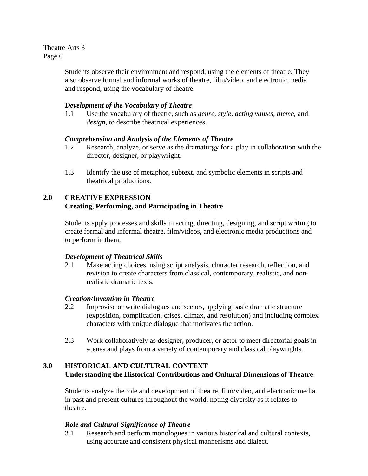> Students observe their environment and respond, using the elements of theatre. They also observe formal and informal works of theatre, film/video, and electronic media and respond, using the vocabulary of theatre.

# *Development of the Vocabulary of Theatre*

1.1 Use the vocabulary of theatre, such as *genre*, *style*, *acting values*, *theme*, and *design*, to describe theatrical experiences.

# *Comprehension and Analysis of the Elements of Theatre*

- 1.2 Research, analyze, or serve as the dramaturgy for a play in collaboration with the director, designer, or playwright.
- 1.3 Identify the use of metaphor, subtext, and symbolic elements in scripts and theatrical productions.

# **2.0 CREATIVE EXPRESSION Creating, Performing, and Participating in Theatre**

Students apply processes and skills in acting, directing, designing, and script writing to create formal and informal theatre, film/videos, and electronic media productions and to perform in them.

# *Development of Theatrical Skills*

2.1 Make acting choices, using script analysis, character research, reflection, and revision to create characters from classical, contemporary, realistic, and nonrealistic dramatic texts.

# *Creation/Invention in Theatre*

- 2.2 Improvise or write dialogues and scenes, applying basic dramatic structure (exposition, complication, crises, climax, and resolution) and including complex characters with unique dialogue that motivates the action.
- 2.3 Work collaboratively as designer, producer, or actor to meet directorial goals in scenes and plays from a variety of contemporary and classical playwrights.

# **3.0 HISTORICAL AND CULTURAL CONTEXT Understanding the Historical Contributions and Cultural Dimensions of Theatre**

Students analyze the role and development of theatre, film/video, and electronic media in past and present cultures throughout the world, noting diversity as it relates to theatre.

# *Role and Cultural Significance of Theatre*

3.1 Research and perform monologues in various historical and cultural contexts, using accurate and consistent physical mannerisms and dialect.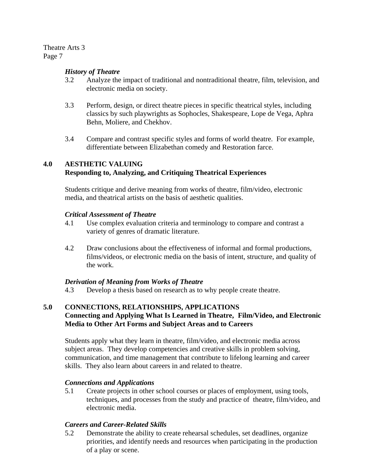### *History of Theatre*

- 3.2 Analyze the impact of traditional and nontraditional theatre, film, television, and electronic media on society.
- 3.3 Perform, design, or direct theatre pieces in specific theatrical styles, including classics by such playwrights as Sophocles, Shakespeare, Lope de Vega, Aphra Behn, Moliere, and Chekhov.
- 3.4 Compare and contrast specific styles and forms of world theatre. For example, differentiate between Elizabethan comedy and Restoration farce.

# **4.0 AESTHETIC VALUING Responding to, Analyzing, and Critiquing Theatrical Experiences**

Students critique and derive meaning from works of theatre, film/video, electronic media, and theatrical artists on the basis of aesthetic qualities.

#### *Critical Assessment of Theatre*

- 4.1 Use complex evaluation criteria and terminology to compare and contrast a variety of genres of dramatic literature.
- 4.2 Draw conclusions about the effectiveness of informal and formal productions, films/videos, or electronic media on the basis of intent, structure, and quality of the work.

#### *Derivation of Meaning from Works of Theatre*

4.3 Develop a thesis based on research as to why people create theatre.

### **5.0 CONNECTIONS, RELATIONSHIPS, APPLICATIONS Connecting and Applying What Is Learned in Theatre, Film/Video, and Electronic Media to Other Art Forms and Subject Areas and to Careers**

Students apply what they learn in theatre, film/video, and electronic media across subject areas. They develop competencies and creative skills in problem solving, communication, and time management that contribute to lifelong learning and career skills. They also learn about careers in and related to theatre.

# *Connections and Applications*

5.1 Create projects in other school courses or places of employment, using tools, techniques, and processes from the study and practice of theatre, film/video, and electronic media.

# *Careers and Career-Related Skills*

5.2 Demonstrate the ability to create rehearsal schedules, set deadlines, organize priorities, and identify needs and resources when participating in the production of a play or scene.